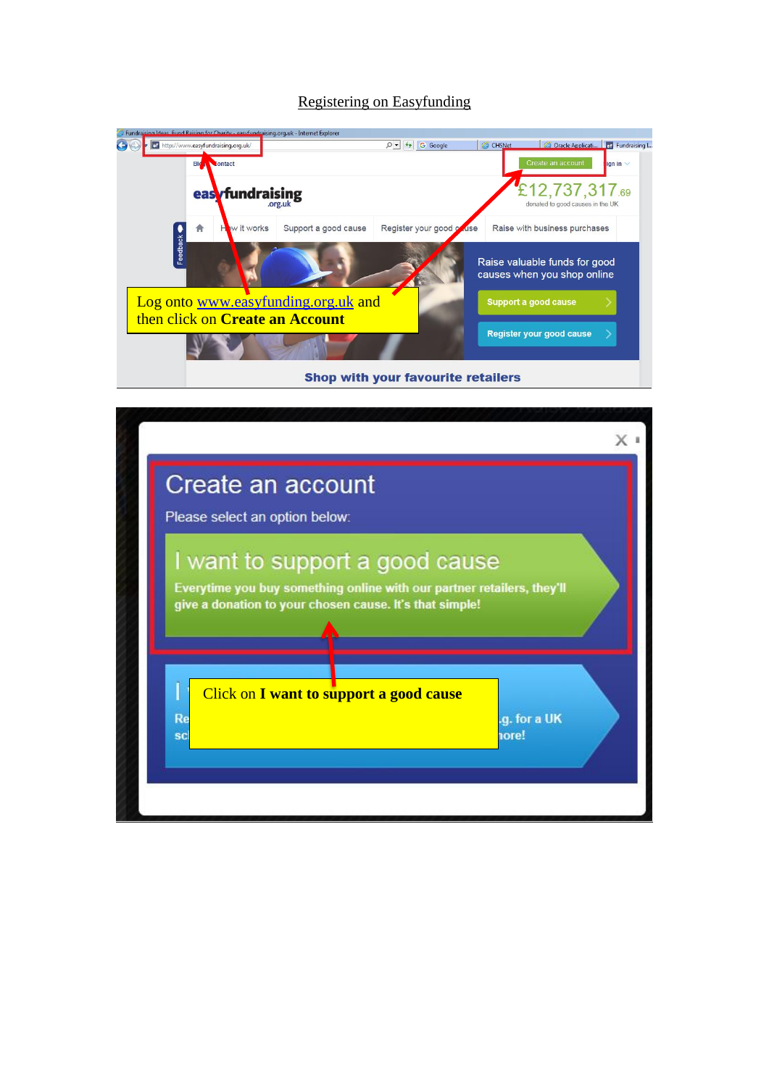## Registering on Easyfunding

| Fundraising Ideas, Fund Raising for Charity - easyfundraising.org.uk - Internet Explorer |                        |                                           |                                                              |                                                    |
|------------------------------------------------------------------------------------------|------------------------|-------------------------------------------|--------------------------------------------------------------|----------------------------------------------------|
| ef http://www.easyfundraising.org.uk/                                                    |                        | $O - 4$ G Google                          | C Oracle Applicati <b>For Fundraising I</b><br>CHSNet        |                                                    |
| <b>Blog Noontact</b>                                                                     |                        |                                           | Create an account                                            | $\frac{1}{2}$ ign in                               |
|                                                                                          | eas <b>Tundraising</b> |                                           |                                                              | £12,737,317.69<br>donated to good causes in the UK |
| w it works<br>π                                                                          | Support a good cause   | Register your good on use                 | Raise with business purchases                                |                                                    |
| Feedback                                                                                 |                        |                                           | Raise valuable funds for good<br>causes when you shop online |                                                    |
| Log onto www.easyfunding.org.uk and                                                      |                        |                                           | Support a good cause                                         |                                                    |
| then click on Create an Account                                                          |                        |                                           | <b>Register your good cause</b>                              |                                                    |
|                                                                                          |                        | <b>Shop with your favourite retailers</b> |                                                              |                                                    |

| Please select an option below: |                                                                                                                                                                     |                       |
|--------------------------------|---------------------------------------------------------------------------------------------------------------------------------------------------------------------|-----------------------|
|                                | I want to support a good cause<br>Everytime you buy something online with our partner retailers, they'll<br>give a donation to your chosen cause. It's that simple! |                       |
| ı<br>Re<br><b>SC</b>           | Click on I want to support a good cause                                                                                                                             | .g. for a UK<br>nore! |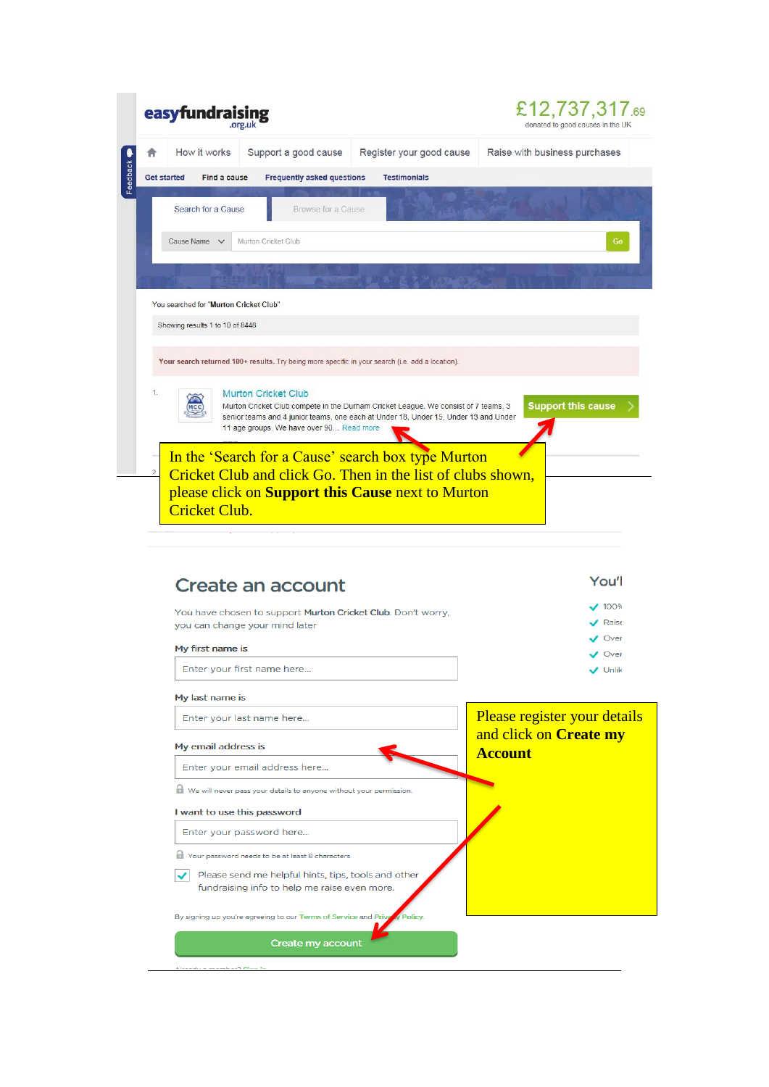|                    | easyfundrai                            |                                                                                                |                                                                                                                                                                                                                                                                                                                                                     | £12,737,317.69<br>donated to good causes in the UK |
|--------------------|----------------------------------------|------------------------------------------------------------------------------------------------|-----------------------------------------------------------------------------------------------------------------------------------------------------------------------------------------------------------------------------------------------------------------------------------------------------------------------------------------------------|----------------------------------------------------|
|                    | How it works                           | Support a good cause                                                                           | Register your good cause                                                                                                                                                                                                                                                                                                                            | Raise with business purchases                      |
| <b>Get started</b> | Find a cause                           | <b>Frequently asked questions</b>                                                              | <b>Testimonials</b>                                                                                                                                                                                                                                                                                                                                 |                                                    |
|                    | Search for a Cause                     | Browse for a Cause                                                                             |                                                                                                                                                                                                                                                                                                                                                     |                                                    |
|                    | Cause Name v                           | Murton Cricket Club                                                                            |                                                                                                                                                                                                                                                                                                                                                     | Go                                                 |
|                    |                                        |                                                                                                |                                                                                                                                                                                                                                                                                                                                                     |                                                    |
|                    |                                        |                                                                                                |                                                                                                                                                                                                                                                                                                                                                     |                                                    |
|                    | You searched for "Murton Cricket Club" |                                                                                                |                                                                                                                                                                                                                                                                                                                                                     |                                                    |
|                    | Showing results 1 to 10 of 8448        |                                                                                                |                                                                                                                                                                                                                                                                                                                                                     |                                                    |
| $\mathfrak{D}$     | Cricket Club.                          | 11 age groups. We have over 90 Read more                                                       | Murton Cricket Club compete in the Durham Cricket League. We consist of 7 teams, 3<br>senior teams and 4 junior teams, one each at Under 18, Under 15, Under 13 and Under<br>In the 'Search for a Cause' search box type Murton<br>Cricket Club and click Go. Then in the list of clubs shown,<br>please click on Support this Cause next to Murton | <b>Support this cause</b>                          |
|                    |                                        |                                                                                                |                                                                                                                                                                                                                                                                                                                                                     |                                                    |
|                    |                                        | Create an account                                                                              |                                                                                                                                                                                                                                                                                                                                                     | You'l<br>100%                                      |
|                    |                                        | You have chosen to support Murton Cricket Club. Don't worry,<br>you can change your mind later |                                                                                                                                                                                                                                                                                                                                                     | Raise                                              |
|                    | My first name is                       |                                                                                                |                                                                                                                                                                                                                                                                                                                                                     | Over<br>Over                                       |
|                    |                                        | Enter your first name here                                                                     |                                                                                                                                                                                                                                                                                                                                                     | $\bigvee$ Unlik                                    |
|                    | My last name is                        |                                                                                                |                                                                                                                                                                                                                                                                                                                                                     |                                                    |

| Enter your last name here                                                 | Please register your details  |
|---------------------------------------------------------------------------|-------------------------------|
|                                                                           | and click on <b>Create my</b> |
| My email address is                                                       | <b>Account</b>                |
| Enter your email address here                                             |                               |
| We will never pass your details to anyone without your permission.        |                               |
| I want to use this password                                               |                               |
| Enter your password here                                                  |                               |
| Your password needs to be at least 8 characters.                          |                               |
| Please send me helpful hints, tips, tools and other                       |                               |
| fundraising info to help me raise even more.                              |                               |
| By signing up you're agreeing to our Terms of Service and Private Policy. |                               |
|                                                                           |                               |
| Create my account                                                         |                               |